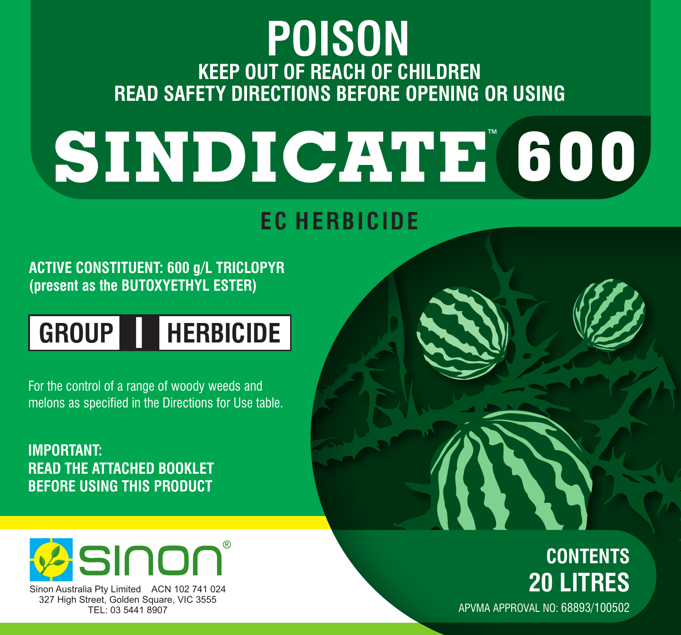## **KEEP OUT OF REACH OF CHILDREN READ SAFETY DIRECTIONS BEFORE OPENING OR USING POISON**

# **SINDICATE 600**

### **EC HERBICIDE**

#### **ACTIVE CONSTITUENT: 600 g/L TRICLOPYR (present as the BUTOXYETHYL ESTER)**

# **GROUP I HERBICIDE**

For the control of a range of woody weeds and melons as specified in the Directions for Use table.

**IMPORTANT: READ THE ATTACHED BOOKLET BEFORE USING THIS PRODUCT**



Sinon Australia Pty Limited ACN 102 741 024 327 High Street, Golden Square, VIC 3555 TEL: 03 5441 8907

# **CONTENTS 20 LITRES**

APVMA APPROVAL NO: 68893/100502